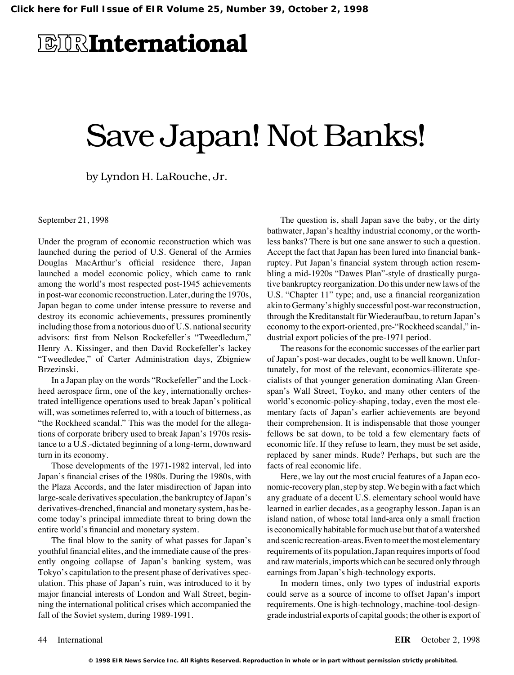## **EIRInternational**

# Save Japan! Not Banks!

by Lyndon H. LaRouche, Jr.

September 21, 1998

Under the program of economic reconstruction which was launched during the period of U.S. General of the Armies Douglas MacArthur's official residence there, Japan launched a model economic policy, which came to rank among the world's most respected post-1945 achievements in post-war economic reconstruction. Later, during the 1970s, Japan began to come under intense pressure to reverse and destroy its economic achievements, pressures prominently including those from a notorious duo of U.S. national security advisors: first from Nelson Rockefeller's "Tweedledum," Henry A. Kissinger, and then David Rockefeller's lackey "Tweedledee," of Carter Administration days, Zbigniew Brzezinski.

In a Japan play on the words "Rockefeller" and the Lockheed aerospace firm, one of the key, internationally orchestrated intelligence operations used to break Japan's political will, was sometimes referred to, with a touch of bitterness, as "the Rockheed scandal." This was the model for the allegations of corporate bribery used to break Japan's 1970s resistance to a U.S.-dictated beginning of a long-term, downward turn in its economy.

Those developments of the 1971-1982 interval, led into Japan's financial crises of the 1980s. During the 1980s, with the Plaza Accords, and the later misdirection of Japan into large-scale derivatives speculation, the bankruptcy of Japan's derivatives-drenched, financial and monetary system, has become today's principal immediate threat to bring down the entire world's financial and monetary system.

The final blow to the sanity of what passes for Japan's youthful financial elites, and the immediate cause of the presently ongoing collapse of Japan's banking system, was Tokyo's capitulation to the present phase of derivatives speculation. This phase of Japan's ruin, was introduced to it by major financial interests of London and Wall Street, beginning the international political crises which accompanied the fall of the Soviet system, during 1989-1991.

The question is, shall Japan save the baby, or the dirty bathwater, Japan's healthy industrial economy, or the worthless banks? There is but one sane answer to such a question. Accept the fact that Japan has been lured into financial bankruptcy. Put Japan's financial system through action resembling a mid-1920s "Dawes Plan"-style of drastically purgative bankruptcy reorganization. Do this under new laws of the U.S. "Chapter 11" type; and, use a financial reorganization akin to Germany's highly successful post-war reconstruction, through the Kreditanstalt für Wiederaufbau, to return Japan's economy to the export-oriented, pre-"Rockheed scandal," industrial export policies of the pre-1971 period.

The reasons for the economic successes of the earlier part of Japan's post-war decades, ought to be well known. Unfortunately, for most of the relevant, economics-illiterate specialists of that younger generation dominating Alan Greenspan's Wall Street, Toyko, and many other centers of the world's economic-policy-shaping, today, even the most elementary facts of Japan's earlier achievements are beyond their comprehension. It is indispensable that those younger fellows be sat down, to be told a few elementary facts of economic life. If they refuse to learn, they must be set aside, replaced by saner minds. Rude? Perhaps, but such are the facts of real economic life.

Here, we lay out the most crucial features of a Japan economic-recovery plan, step by step. We begin with a fact which any graduate of a decent U.S. elementary school would have learned in earlier decades, as a geography lesson. Japan is an island nation, of whose total land-area only a small fraction is economically habitable for much use but that of a watershed and scenic recreation-areas. Even to meet the most elementary requirements of its population, Japan requires imports of food and raw materials, imports which can be secured only through earnings from Japan's high-technology exports.

In modern times, only two types of industrial exports could serve as a source of income to offset Japan's import requirements. One is high-technology, machine-tool-designgrade industrial exports of capital goods; the other is export of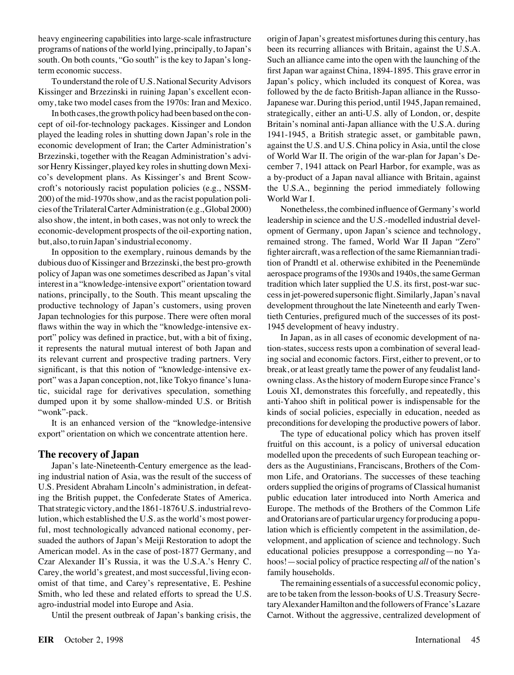heavy engineering capabilities into large-scale infrastructure programs of nations of the world lying, principally, to Japan's south. On both counts, "Go south" is the key to Japan's longterm economic success.

To understand the role of U.S. National Security Advisors Kissinger and Brzezinski in ruining Japan's excellent economy, take two model cases from the 1970s: Iran and Mexico.

In both cases, the growth policy had been based on the concept of oil-for-technology packages. Kissinger and London played the leading roles in shutting down Japan's role in the economic development of Iran; the Carter Administration's Brzezinski, together with the Reagan Administration's advisor Henry Kissinger, played key roles in shutting down Mexico's development plans. As Kissinger's and Brent Scowcroft's notoriously racist population policies (e.g., NSSM-200) of the mid-1970s show, and as the racist population policies of the Trilateral Carter Administration (e.g., Global 2000) also show, the intent, in both cases, was not only to wreck the economic-development prospects of the oil-exporting nation, but, also, to ruin Japan's industrial economy.

In opposition to the exemplary, ruinous demands by the dubious duo of Kissinger and Brzezinski, the best pro-growth policy of Japan was one sometimes described as Japan's vital interest in a "knowledge-intensive export" orientation toward nations, principally, to the South. This meant upscaling the productive technology of Japan's customers, using proven Japan technologies for this purpose. There were often moral flaws within the way in which the "knowledge-intensive export" policy was defined in practice, but, with a bit of fixing, it represents the natural mutual interest of both Japan and its relevant current and prospective trading partners. Very significant, is that this notion of "knowledge-intensive export" was a Japan conception, not, like Tokyo finance's lunatic, suicidal rage for derivatives speculation, something dumped upon it by some shallow-minded U.S. or British "wonk"-pack.

It is an enhanced version of the "knowledge-intensive export" orientation on which we concentrate attention here.

#### **The recovery of Japan**

Japan's late-Nineteenth-Century emergence as the leading industrial nation of Asia, was the result of the success of U.S. President Abraham Lincoln's administration, in defeating the British puppet, the Confederate States of America. That strategic victory, and the 1861-1876 U.S. industrial revolution, which established the U.S. as the world's most powerful, most technologically advanced national economy, persuaded the authors of Japan's Meiji Restoration to adopt the American model. As in the case of post-1877 Germany, and Czar Alexander II's Russia, it was the U.S.A.'s Henry C. Carey, the world's greatest, and most successful, living economist of that time, and Carey's representative, E. Peshine Smith, who led these and related efforts to spread the U.S. agro-industrial model into Europe and Asia.

Until the present outbreak of Japan's banking crisis, the

origin of Japan's greatest misfortunes during this century, has been its recurring alliances with Britain, against the U.S.A. Such an alliance came into the open with the launching of the first Japan war against China, 1894-1895. This grave error in Japan's policy, which included its conquest of Korea, was followed by the de facto British-Japan alliance in the Russo-Japanese war. During this period, until 1945, Japan remained, strategically, either an anti-U.S. ally of London, or, despite Britain's nominal anti-Japan alliance with the U.S.A. during 1941-1945, a British strategic asset, or gambitable pawn, against the U.S. and U.S. China policy in Asia, until the close of World War II. The origin of the war-plan for Japan's December 7, 1941 attack on Pearl Harbor, for example, was as a by-product of a Japan naval alliance with Britain, against the U.S.A., beginning the period immediately following World War I.

Nonetheless, the combined influence of Germany's world leadership in science and the U.S.-modelled industrial development of Germany, upon Japan's science and technology, remained strong. The famed, World War II Japan "Zero" fighter aircraft, was a reflection of the same Riemannian tradition of Prandtl et al. otherwise exhibited in the Peenemunde aerospace programs of the 1930s and 1940s, the same German tradition which later supplied the U.S. its first, post-war success in jet-powered supersonic flight. Similarly, Japan's naval development throughout the late Nineteenth and early Twentieth Centuries, prefigured much of the successes of its post-1945 development of heavy industry.

In Japan, as in all cases of economic development of nation-states, success rests upon a combination of several leading social and economic factors. First, either to prevent, or to break, or at least greatly tame the power of any feudalist landowning class. As the history of modern Europe since France's Louis XI, demonstrates this forcefully, and repeatedly, this anti-Yahoo shift in political power is indispensable for the kinds of social policies, especially in education, needed as preconditions for developing the productive powers of labor.

The type of educational policy which has proven itself fruitful on this account, is a policy of universal education modelled upon the precedents of such European teaching orders as the Augustinians, Franciscans, Brothers of the Common Life, and Oratorians. The successes of these teaching orders supplied the origins of programs of Classical humanist public education later introduced into North America and Europe. The methods of the Brothers of the Common Life and Oratorians are of particular urgency for producing a population which is efficiently competent in the assimilation, development, and application of science and technology. Such educational policies presuppose a corresponding—no Yahoos!—social policy of practice respecting *all* of the nation's family households.

The remaining essentials of a successful economic policy, are to be taken from the lesson-books of U.S. Treasury Secretary Alexander Hamilton and the followers of France's Lazare Carnot. Without the aggressive, centralized development of